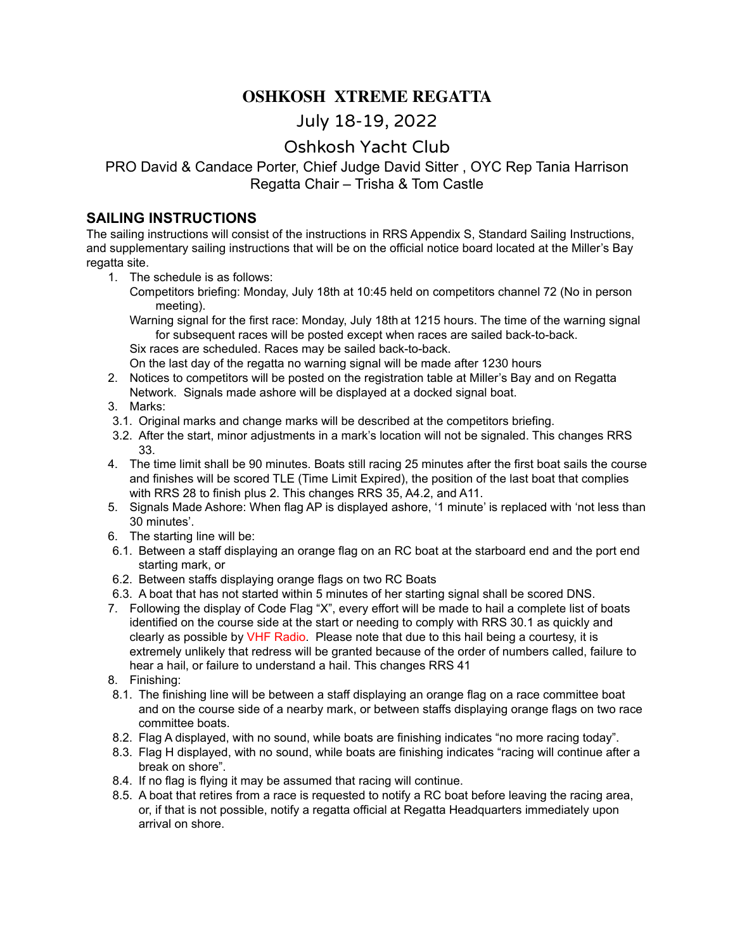### **OSHKOSH XTREME REGATTA**

# July 18-19, 2022

## Oshkosh Yacht Club

#### PRO David & Candace Porter, Chief Judge David Sitter , OYC Rep Tania Harrison Regatta Chair – Trisha & Tom Castle

#### **SAILING INSTRUCTIONS**

The sailing instructions will consist of the instructions in RRS Appendix S, Standard Sailing Instructions, and supplementary sailing instructions that will be on the official notice board located at the Miller's Bay regatta site.

- 1. The schedule is as follows:
	- Competitors briefing: Monday, July 18th at 10:45 held on competitors channel 72 (No in person meeting).

Warning signal for the first race: Monday, July 18th at 1215 hours. The time of the warning signal for subsequent races will be posted except when races are sailed back-to-back.

Six races are scheduled. Races may be sailed back-to-back.

On the last day of the regatta no warning signal will be made after 1230 hours

- 2. Notices to competitors will be posted on the registration table at Miller's Bay and on Regatta Network. Signals made ashore will be displayed at a docked signal boat.
- 3. Marks:
- 3.1. Original marks and change marks will be described at the competitors briefing.
- 3.2. After the start, minor adjustments in a mark's location will not be signaled. This changes RRS 33.
- 4. The time limit shall be 90 minutes. Boats still racing 25 minutes after the first boat sails the course and finishes will be scored TLE (Time Limit Expired), the position of the last boat that complies with RRS 28 to finish plus 2. This changes RRS 35, A4.2, and A11.
- 5. Signals Made Ashore: When flag AP is displayed ashore, '1 minute' is replaced with 'not less than 30 minutes'.
- 6. The starting line will be:
- 6.1. Between a staff displaying an orange flag on an RC boat at the starboard end and the port end starting mark, or
- 6.2. Between staffs displaying orange flags on two RC Boats
- 6.3. A boat that has not started within 5 minutes of her starting signal shall be scored DNS.
- 7. Following the display of Code Flag "X", every effort will be made to hail a complete list of boats identified on the course side at the start or needing to comply with RRS 30.1 as quickly and clearly as possible by VHF Radio. Please note that due to this hail being a courtesy, it is extremely unlikely that redress will be granted because of the order of numbers called, failure to hear a hail, or failure to understand a hail. This changes RRS 41
- 8. Finishing:
- 8.1. The finishing line will be between a staff displaying an orange flag on a race committee boat and on the course side of a nearby mark, or between staffs displaying orange flags on two race committee boats.
- 8.2. Flag A displayed, with no sound, while boats are finishing indicates "no more racing today".
- 8.3. Flag H displayed, with no sound, while boats are finishing indicates "racing will continue after a break on shore".
- 8.4. If no flag is flying it may be assumed that racing will continue.
- 8.5. A boat that retires from a race is requested to notify a RC boat before leaving the racing area, or, if that is not possible, notify a regatta official at Regatta Headquarters immediately upon arrival on shore.